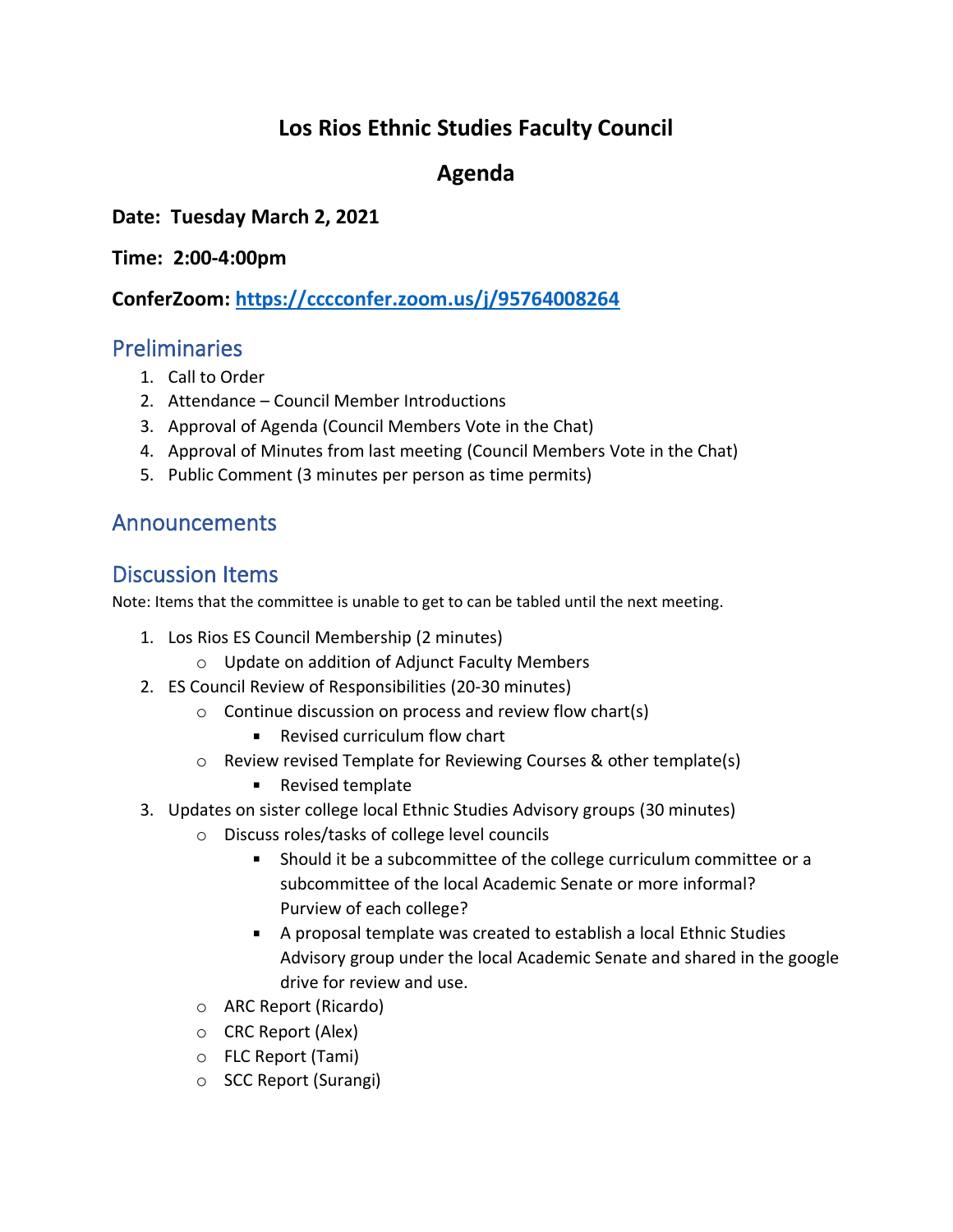# **Los Rios Ethnic Studies Faculty Council**

## **Agenda**

**Date: Tuesday March 2, 2021**

**Time: 2:00-4:00pm**

**ConferZoom: https://cccconfer.zoom.us/j/95764008264**

### **Preliminaries**

- 1. Call to Order
- 2. Attendance Council Member Introductions
- 3. Approval of Agenda (Council Members Vote in the Chat)
- 4. Approval of Minutes from last meeting (Council Members Vote in the Chat)
- 5. Public Comment (3 minutes per person as time permits)

### Announcements

#### Discussion Items

Note: Items that the committee is unable to get to can be tabled until the next meeting.

- 1. Los Rios ES Council Membership (2 minutes)
	- o Update on addition of Adjunct Faculty Members
- 2. ES Council Review of Responsibilities (20-30 minutes)
	- o Continue discussion on process and review flow chart(s)
		- **Revised curriculum flow chart**
	- o Review revised Template for Reviewing Courses & other template(s)
		- Revised template
- 3. Updates on sister college local Ethnic Studies Advisory groups (30 minutes)
	- o Discuss roles/tasks of college level councils
		- Should it be a subcommittee of the college curriculum committee or a subcommittee of the local Academic Senate or more informal? Purview of each college?
		- A proposal template was created to establish a local Ethnic Studies Advisory group under the local Academic Senate and shared in the google drive for review and use.
	- o ARC Report (Ricardo)
	- o CRC Report (Alex)
	- o FLC Report (Tami)
	- o SCC Report (Surangi)